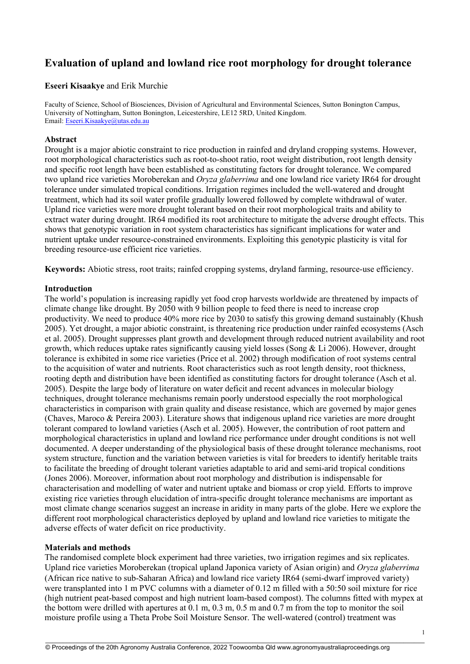# **Evaluation of upland and lowland rice root morphology for drought tolerance**

# **Eseeri Kisaakye** and Erik Murchie

Faculty of Science, School of Biosciences, Division of Agricultural and Environmental Sciences, Sutton Bonington Campus, University of Nottingham, Sutton Bonington, Leicestershire, LE12 5RD, United Kingdom. Email: [Eseeri.Kisaakye@utas.edu.au](mailto:Eseeri.Kisaakye@utas.edu.au)

#### **Abstract**

Drought is a major abiotic constraint to rice production in rainfed and dryland cropping systems. However, root morphological characteristics such as root-to-shoot ratio, root weight distribution, root length density and specific root length have been established as constituting factors for drought tolerance. We compared two upland rice varieties Moroberekan and *Oryza glaberrima* and one lowland rice variety IR64 for drought tolerance under simulated tropical conditions. Irrigation regimes included the well-watered and drought treatment, which had its soil water profile gradually lowered followed by complete withdrawal of water. Upland rice varieties were more drought tolerant based on their root morphological traits and ability to extract water during drought. IR64 modified its root architecture to mitigate the adverse drought effects. This shows that genotypic variation in root system characteristics has significant implications for water and nutrient uptake under resource-constrained environments. Exploiting this genotypic plasticity is vital for breeding resource-use efficient rice varieties.

**Keywords:** Abiotic stress, root traits; rainfed cropping systems, dryland farming, resource-use efficiency.

#### **Introduction**

The world's population is increasing rapidly yet food crop harvests worldwide are threatened by impacts of climate change like drought. By 2050 with 9 billion people to feed there is need to increase crop productivity. We need to produce 40% more rice by 2030 to satisfy this growing demand sustainably (Khush 2005). Yet drought, a major abiotic constraint, is threatening rice production under rainfed ecosystems (Asch et al. 2005). Drought suppresses plant growth and development through reduced nutrient availability and root growth, which reduces uptake rates significantly causing yield losses (Song & Li 2006). However, drought tolerance is exhibited in some rice varieties (Price et al. 2002) through modification of root systems central to the acquisition of water and nutrients. Root characteristics such as root length density, root thickness, rooting depth and distribution have been identified as constituting factors for drought tolerance (Asch et al. 2005). Despite the large body of literature on water deficit and recent advances in molecular biology techniques, drought tolerance mechanisms remain poorly understood especially the root morphological characteristics in comparison with grain quality and disease resistance, which are governed by major genes (Chaves, Maroco & Pereira 2003). Literature shows that indigenous upland rice varieties are more drought tolerant compared to lowland varieties (Asch et al. 2005). However, the contribution of root pattern and morphological characteristics in upland and lowland rice performance under drought conditions is not well documented. A deeper understanding of the physiological basis of these drought tolerance mechanisms, root system structure, function and the variation between varieties is vital for breeders to identify heritable traits to facilitate the breeding of drought tolerant varieties adaptable to arid and semi-arid tropical conditions (Jones 2006). Moreover, information about root morphology and distribution is indispensable for characterisation and modelling of water and nutrient uptake and biomass or crop yield. Efforts to improve existing rice varieties through elucidation of intra-specific drought tolerance mechanisms are important as most climate change scenarios suggest an increase in aridity in many parts of the globe. Here we explore the different root morphological characteristics deployed by upland and lowland rice varieties to mitigate the adverse effects of water deficit on rice productivity.

# **Materials and methods**

The randomised complete block experiment had three varieties, two irrigation regimes and six replicates. Upland rice varieties Moroberekan (tropical upland Japonica variety of Asian origin) and *Oryza glaberrima* (African rice native to sub-Saharan Africa) and lowland rice variety IR64 (semi-dwarf improved variety) were transplanted into 1 m PVC columns with a diameter of 0.12 m filled with a 50:50 soil mixture for rice (high nutrient peat-based compost and high nutrient loam-based compost). The columns fitted with mypex at the bottom were drilled with apertures at 0.1 m, 0.3 m, 0.5 m and 0.7 m from the top to monitor the soil moisture profile using a Theta Probe Soil Moisture Sensor. The well-watered (control) treatment was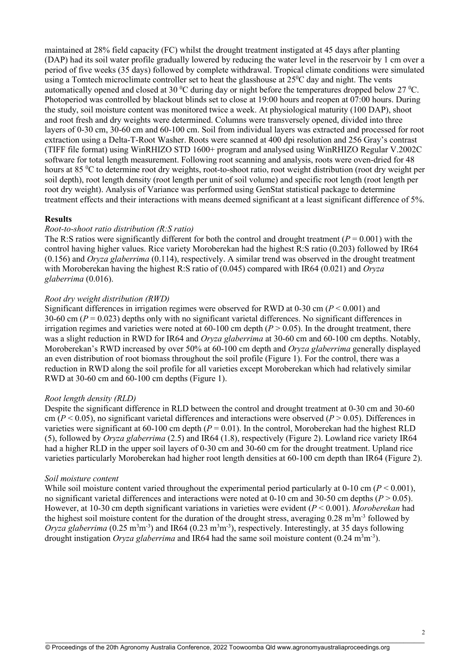maintained at 28% field capacity (FC) whilst the drought treatment instigated at 45 days after planting (DAP) had its soil water profile gradually lowered by reducing the water level in the reservoir by 1 cm over a period of five weeks (35 days) followed by complete withdrawal. Tropical climate conditions were simulated using a Tomtech microclimate controller set to heat the glasshouse at  $25\text{°C}$  day and night. The vents automatically opened and closed at 30 °C during day or night before the temperatures dropped below 27 °C. Photoperiod was controlled by blackout blinds set to close at 19:00 hours and reopen at 07:00 hours. During the study, soil moisture content was monitored twice a week. At physiological maturity (100 DAP), shoot and root fresh and dry weights were determined. Columns were transversely opened, divided into three layers of 0-30 cm, 30-60 cm and 60-100 cm. Soil from individual layers was extracted and processed for root extraction using a Delta-T-Root Washer. Roots were scanned at 400 dpi resolution and 256 Gray's contrast (TIFF file format) using WinRHIZO STD 1600+ program and analysed using WinRHIZO Regular V.2002C software for total length measurement. Following root scanning and analysis, roots were oven-dried for 48 hours at 85 <sup>o</sup>C to determine root dry weights, root-to-shoot ratio, root weight distribution (root dry weight per soil depth), root length density (root length per unit of soil volume) and specific root length (root length per root dry weight). Analysis of Variance was performed using GenStat statistical package to determine treatment effects and their interactions with means deemed significant at a least significant difference of 5%.

#### **Results**

# *Root-to-shoot ratio distribution (R:S ratio)*

The R:S ratios were significantly different for both the control and drought treatment  $(P = 0.001)$  with the control having higher values. Rice variety Moroberekan had the highest R:S ratio (0.203) followed by IR64 (0.156) and *Oryza glaberrima* (0.114), respectively. A similar trend was observed in the drought treatment with Moroberekan having the highest R:S ratio of (0.045) compared with IR64 (0.021) and *Oryza glaberrima* (0.016).

#### *Root dry weight distribution (RWD)*

Significant differences in irrigation regimes were observed for RWD at 0-30 cm (*P* < 0.001) and 30-60 cm (*P* = 0.023) depths only with no significant varietal differences. No significant differences in irrigation regimes and varieties were noted at  $60-100$  cm depth  $(P > 0.05)$ . In the drought treatment, there was a slight reduction in RWD for IR64 and *Oryza glaberrima* at 30-60 cm and 60-100 cm depths. Notably, Moroberekan's RWD increased by over 50% at 60-100 cm depth and *Oryza glaberrima* generally displayed an even distribution of root biomass throughout the soil profile (Figure 1). For the control, there was a reduction in RWD along the soil profile for all varieties except Moroberekan which had relatively similar RWD at 30-60 cm and 60-100 cm depths (Figure 1).

# *Root length density (RLD)*

Despite the significant difference in RLD between the control and drought treatment at 0-30 cm and 30-60 cm ( $P < 0.05$ ), no significant varietal differences and interactions were observed ( $P > 0.05$ ). Differences in varieties were significant at  $60-100$  cm depth ( $P = 0.01$ ). In the control, Moroberekan had the highest RLD (5), followed by *Oryza glaberrima* (2.5) and IR64 (1.8), respectively (Figure 2). Lowland rice variety IR64 had a higher RLD in the upper soil layers of 0-30 cm and 30-60 cm for the drought treatment. Upland rice varieties particularly Moroberekan had higher root length densities at 60-100 cm depth than IR64 (Figure 2).

#### *Soil moisture content*

While soil moisture content varied throughout the experimental period particularly at  $0-10$  cm ( $P < 0.001$ ), no significant varietal differences and interactions were noted at  $0-10$  cm and  $30-50$  cm depths ( $P > 0.05$ ). However, at 10-30 cm depth significant variations in varieties were evident (*P* < 0.001). *Moroberekan* had the highest soil moisture content for the duration of the drought stress, averaging  $0.28 \text{ m}^3 \text{m}^{-3}$  followed by Oryza glaberrima ( $0.25 \text{ m}^3\text{m}^3$ ) and IR64 ( $0.23 \text{ m}^3\text{m}^3$ ), respectively. Interestingly, at 35 days following drought instigation *Oryza glaberrima* and IR64 had the same soil moisture content (0.24 m<sup>3</sup>m<sup>-3</sup>).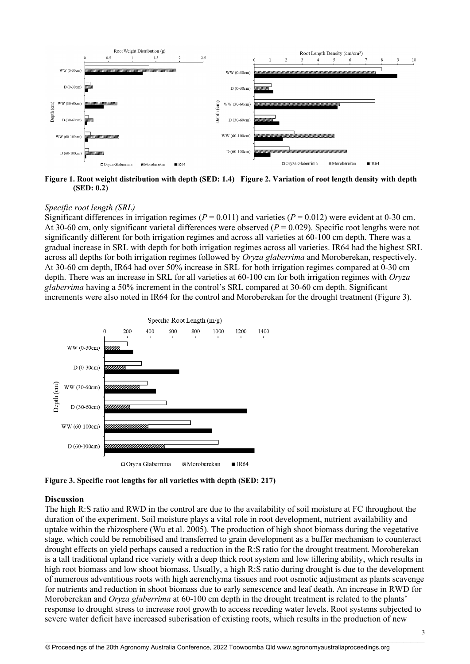

**Figure 1. Root weight distribution with depth (SED: 1.4) Figure 2. Variation of root length density with depth (SED: 0.2)**

#### *Specific root length (SRL)*

Significant differences in irrigation regimes ( $P = 0.011$ ) and varieties ( $P = 0.012$ ) were evident at 0-30 cm. At 30-60 cm, only significant varietal differences were observed (*P* = 0.029). Specific root lengths were not significantly different for both irrigation regimes and across all varieties at 60-100 cm depth. There was a gradual increase in SRL with depth for both irrigation regimes across all varieties. IR64 had the highest SRL across all depths for both irrigation regimes followed by *Oryza glaberrima* and Moroberekan, respectively. At 30-60 cm depth, IR64 had over 50% increase in SRL for both irrigation regimes compared at 0-30 cm depth. There was an increase in SRL for all varieties at 60-100 cm for both irrigation regimes with *Oryza glaberrima* having a 50% increment in the control's SRL compared at 30-60 cm depth. Significant increments were also noted in IR64 for the control and Moroberekan for the drought treatment (Figure 3).



**Figure 3. Specific root lengths for all varieties with depth (SED: 217)** 

#### **Discussion**

The high R:S ratio and RWD in the control are due to the availability of soil moisture at FC throughout the duration of the experiment. Soil moisture plays a vital role in root development, nutrient availability and uptake within the rhizosphere (Wu et al. 2005). The production of high shoot biomass during the vegetative stage, which could be remobilised and transferred to grain development as a buffer mechanism to counteract drought effects on yield perhaps caused a reduction in the R:S ratio for the drought treatment. Moroberekan is a tall traditional upland rice variety with a deep thick root system and low tillering ability, which results in high root biomass and low shoot biomass. Usually, a high R:S ratio during drought is due to the development of numerous adventitious roots with high aerenchyma tissues and root osmotic adjustment as plants scavenge for nutrients and reduction in shoot biomass due to early senescence and leaf death. An increase in RWD for Moroberekan and *Oryza glaberrima* at 60-100 cm depth in the drought treatment is related to the plants' response to drought stress to increase root growth to access receding water levels. Root systems subjected to severe water deficit have increased suberisation of existing roots, which results in the production of new